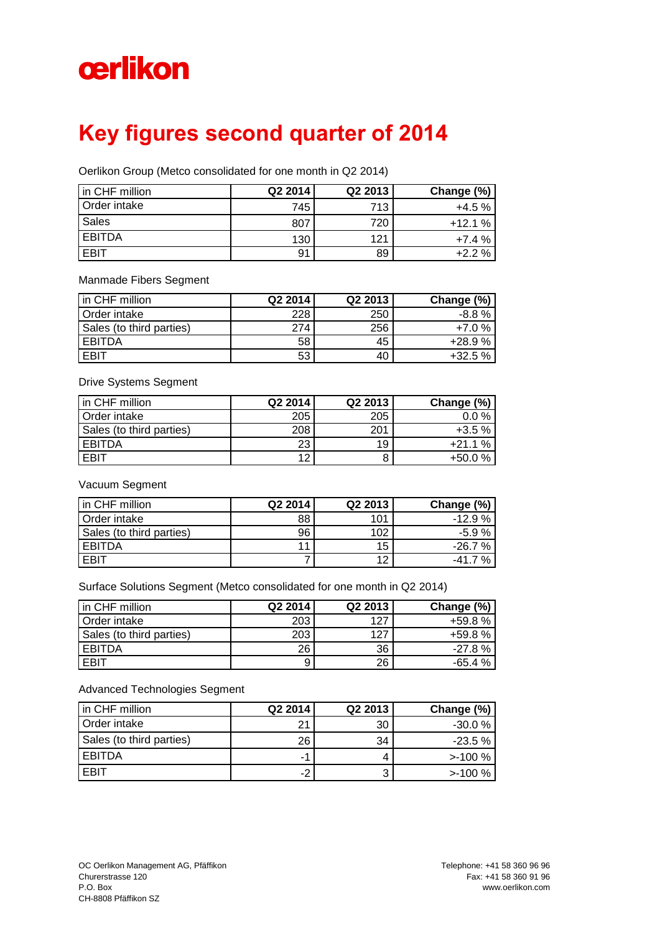## cerlikon

## **Key figures second quarter of 2014**

Oerlikon Group (Metco consolidated for one month in Q2 2014)

| in CHF million | Q2 2014 | Q2 2013 | Change (%) |
|----------------|---------|---------|------------|
| Order intake   | 745     | 713     | $+4.5%$    |
| <b>Sales</b>   | 807     | 720     | $+12.1%$   |
| <b>EBITDA</b>  | 130     | 121     | $+7.4%$    |
| <b>FBIT</b>    | 91      | 89      | $+2.2%$    |

Manmade Fibers Segment

| in CHF million           | Q <sub>2</sub> 2014 | Q2 2013 | Change (%) |
|--------------------------|---------------------|---------|------------|
| Order intake             | 228 <sub>1</sub>    | 250     | -8.8 %     |
| Sales (to third parties) | 274                 | 256     | $+7.0%$    |
| <b>EBITDA</b>            | 58                  | 45      | $+28.9%$   |
| EBIT                     | 53                  | 40      | $+32.5%$   |

Drive Systems Segment

| in CHF million           | Q2 2014 | Q2 2013 | Change (%) |
|--------------------------|---------|---------|------------|
| Order intake             | 205     | 205     | $0.0\%$    |
| Sales (to third parties) | 208     | 201     | $+3.5%$    |
| <b>EBITDA</b>            | 23      | 19      | $+21.1%$   |
| EBIT                     | 12      |         | $+50.0%$   |

Vacuum Segment

| in CHF million           | Q2 2014 | Q2 2013 | Change (%) |
|--------------------------|---------|---------|------------|
| Order intake             | 88      | 101     | $-12.9%$   |
| Sales (to third parties) | 96      | 102     | $-5.9%$    |
| <b>EBITDA</b>            | 11      | 15      | $-26.7%$   |
| <b>FRIT</b>              |         | 12      | -41.7<br>% |

Surface Solutions Segment (Metco consolidated for one month in Q2 2014)

| in CHF million           | Q <sub>2</sub> 2014 | Q2 2013 | Change (%) |
|--------------------------|---------------------|---------|------------|
| Order intake             | 203                 | 127     | $+59.8%$   |
| Sales (to third parties) | 203                 | 127     | $+59.8%$   |
| EBITDA                   | 26                  | 36      | $-27.8\%$  |
| EBIT                     |                     | 26      | $-65.4%$   |

Advanced Technologies Segment

| in CHF million           | Q2 2014 | Q2 2013 | Change (%) |
|--------------------------|---------|---------|------------|
| Order intake             | 21      | 30      | $-30.0%$   |
| Sales (to third parties) | 26      | 34      | $-23.5\%$  |
| <b>EBITDA</b>            | ΞĤ      |         | $>100\%$   |
| EBIT                     | -2      |         | $>100\%$   |